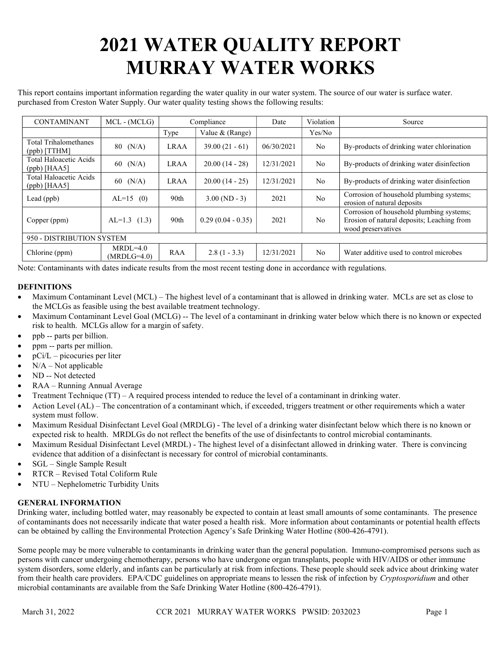# 2021 WATER QUALITY REPORT MURRAY WATER WORKS

This report contains important information regarding the water quality in our water system. The source of our water is surface water. purchased from Creston Water Supply. Our water quality testing shows the following results:

| <b>CONTAMINANT</b>                             | $MCL - (MCLG)$              | Compliance  |                     | Date       | Violation      | Source                                                                                                       |  |  |
|------------------------------------------------|-----------------------------|-------------|---------------------|------------|----------------|--------------------------------------------------------------------------------------------------------------|--|--|
|                                                |                             | Type        | Value & (Range)     |            | Yes/No         |                                                                                                              |  |  |
| <b>Total Trihalomethanes</b><br>$(ppb)$ [TTHM] | $80 \, (N/A)$               | <b>LRAA</b> | $39.00(21 - 61)$    | 06/30/2021 | No.            | By-products of drinking water chlorination                                                                   |  |  |
| Total Haloacetic Acids<br>$(ppb)$ [HAA5]       | $60$ (N/A)                  | <b>LRAA</b> | $20.00(14 - 28)$    | 12/31/2021 | N <sub>o</sub> | By-products of drinking water disinfection                                                                   |  |  |
| Total Haloacetic Acids<br>$(ppb)$ [HAA5]       | (N/A)<br>60                 | <b>LRAA</b> | $20.00(14 - 25)$    | 12/31/2021 | No.            | By-products of drinking water disinfection                                                                   |  |  |
| Lead (ppb)                                     | $AL=15$<br>(0)              | 90th        | $3.00$ (ND - 3)     | 2021       | N <sub>o</sub> | Corrosion of household plumbing systems;<br>erosion of natural deposits                                      |  |  |
| Copper (ppm)                                   | $AL=1.3$ (1.3)              | 90th        | $0.29(0.04 - 0.35)$ | 2021       | N <sub>0</sub> | Corrosion of household plumbing systems;<br>Erosion of natural deposits; Leaching from<br>wood preservatives |  |  |
| 950 - DISTRIBUTION SYSTEM                      |                             |             |                     |            |                |                                                                                                              |  |  |
| Chlorine (ppm)                                 | $MRDL=4.0$<br>$(MRDLG=4.0)$ | <b>RAA</b>  | $2.8(1 - 3.3)$      | 12/31/2021 | No.            | Water additive used to control microbes                                                                      |  |  |

Note: Contaminants with dates indicate results from the most recent testing done in accordance with regulations.

# **DEFINITIONS**

- Maximum Contaminant Level (MCL) The highest level of a contaminant that is allowed in drinking water. MCLs are set as close to the MCLGs as feasible using the best available treatment technology.
- Maximum Contaminant Level Goal (MCLG) -- The level of a contaminant in drinking water below which there is no known or expected risk to health. MCLGs allow for a margin of safety.
- ppb -- parts per billion.
- ppm -- parts per million.
- pCi/L picocuries per liter
- $N/A Not$  applicable
- ND -- Not detected
- RAA Running Annual Average
- Treatment Technique (TT) A required process intended to reduce the level of a contaminant in drinking water.
- Action Level (AL) The concentration of a contaminant which, if exceeded, triggers treatment or other requirements which a water system must follow.
- Maximum Residual Disinfectant Level Goal (MRDLG) The level of a drinking water disinfectant below which there is no known or expected risk to health. MRDLGs do not reflect the benefits of the use of disinfectants to control microbial contaminants.
- Maximum Residual Disinfectant Level (MRDL) The highest level of a disinfectant allowed in drinking water. There is convincing evidence that addition of a disinfectant is necessary for control of microbial contaminants.
- SGL Single Sample Result
- RTCR Revised Total Coliform Rule
- NTU Nephelometric Turbidity Units

## GENERAL INFORMATION

Drinking water, including bottled water, may reasonably be expected to contain at least small amounts of some contaminants. The presence of contaminants does not necessarily indicate that water posed a health risk. More information about contaminants or potential health effects can be obtained by calling the Environmental Protection Agency's Safe Drinking Water Hotline (800-426-4791).

Some people may be more vulnerable to contaminants in drinking water than the general population. Immuno-compromised persons such as persons with cancer undergoing chemotherapy, persons who have undergone organ transplants, people with HIV/AIDS or other immune system disorders, some elderly, and infants can be particularly at risk from infections. These people should seek advice about drinking water from their health care providers. EPA/CDC guidelines on appropriate means to lessen the risk of infection by *Cryptosporidium* and other microbial contaminants are available from the Safe Drinking Water Hotline (800-426-4791).